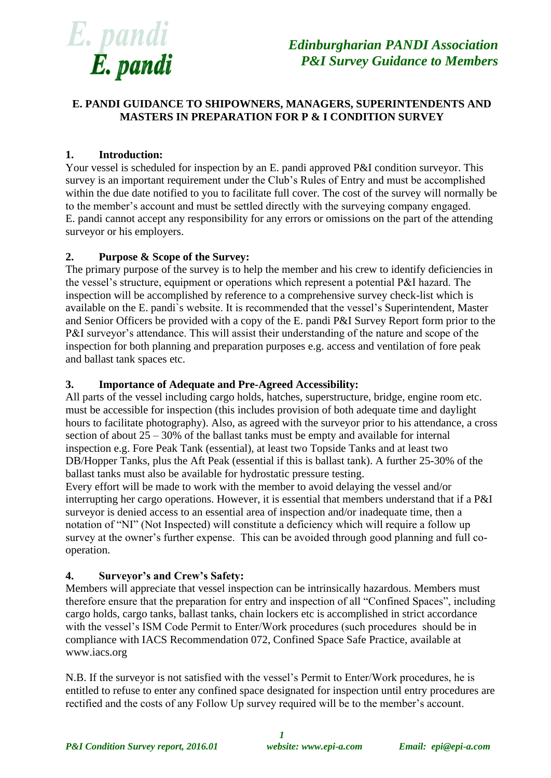

# **E. PANDI GUIDANCE TO SHIPOWNERS, MANAGERS, SUPERINTENDENTS AND MASTERS IN PREPARATION FOR P & I CONDITION SURVEY**

## **1. Introduction:**

Your vessel is scheduled for inspection by an E. pandi approved P&I condition surveyor. This survey is an important requirement under the Club's Rules of Entry and must be accomplished within the due date notified to you to facilitate full cover. The cost of the survey will normally be to the member's account and must be settled directly with the surveying company engaged. E. pandi cannot accept any responsibility for any errors or omissions on the part of the attending surveyor or his employers.

#### **2. Purpose & Scope of the Survey:**

The primary purpose of the survey is to help the member and his crew to identify deficiencies in the vessel's structure, equipment or operations which represent a potential P&I hazard. The inspection will be accomplished by reference to a comprehensive survey check-list which is available on the E. pandi`s website. It is recommended that the vessel's Superintendent, Master and Senior Officers be provided with a copy of the E. pandi P&I Survey Report form prior to the P&I surveyor's attendance. This will assist their understanding of the nature and scope of the inspection for both planning and preparation purposes e.g. access and ventilation of fore peak and ballast tank spaces etc.

### **3. Importance of Adequate and Pre-Agreed Accessibility:**

All parts of the vessel including cargo holds, hatches, superstructure, bridge, engine room etc. must be accessible for inspection (this includes provision of both adequate time and daylight hours to facilitate photography). Also, as agreed with the surveyor prior to his attendance, a cross section of about  $25 - 30\%$  of the ballast tanks must be empty and available for internal inspection e.g. Fore Peak Tank (essential), at least two Topside Tanks and at least two DB/Hopper Tanks, plus the Aft Peak (essential if this is ballast tank). A further 25-30% of the ballast tanks must also be available for hydrostatic pressure testing.

Every effort will be made to work with the member to avoid delaying the vessel and/or interrupting her cargo operations. However, it is essential that members understand that if a P&I surveyor is denied access to an essential area of inspection and/or inadequate time, then a notation of "NI" (Not Inspected) will constitute a deficiency which will require a follow up survey at the owner's further expense. This can be avoided through good planning and full cooperation.

### **4. Surveyor's and Crew's Safety:**

Members will appreciate that vessel inspection can be intrinsically hazardous. Members must therefore ensure that the preparation for entry and inspection of all "Confined Spaces", including cargo holds, cargo tanks, ballast tanks, chain lockers etc is accomplished in strict accordance with the vessel's ISM Code Permit to Enter/Work procedures (such procedures should be in compliance with IACS Recommendation 072, Confined Space Safe Practice, available at www.iacs.org

N.B. If the surveyor is not satisfied with the vessel's Permit to Enter/Work procedures, he is entitled to refuse to enter any confined space designated for inspection until entry procedures are rectified and the costs of any Follow Up survey required will be to the member's account.